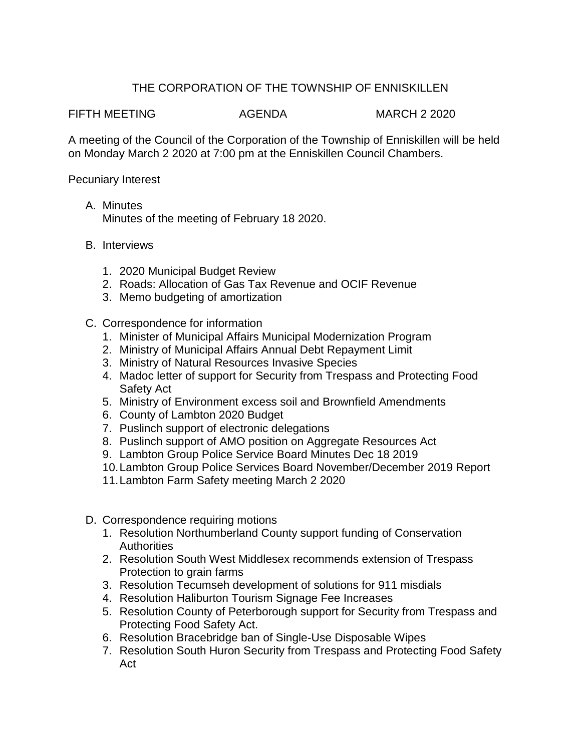## THE CORPORATION OF THE TOWNSHIP OF ENNISKILLEN

FIFTH MEETING AGENDA MARCH 2 2020

A meeting of the Council of the Corporation of the Township of Enniskillen will be held on Monday March 2 2020 at 7:00 pm at the Enniskillen Council Chambers.

Pecuniary Interest

- A. Minutes Minutes of the meeting of February 18 2020.
- B. Interviews
	- 1. 2020 Municipal Budget Review
	- 2. Roads: Allocation of Gas Tax Revenue and OCIF Revenue
	- 3. Memo budgeting of amortization
- C. Correspondence for information
	- 1. Minister of Municipal Affairs Municipal Modernization Program
	- 2. Ministry of Municipal Affairs Annual Debt Repayment Limit
	- 3. Ministry of Natural Resources Invasive Species
	- 4. Madoc letter of support for Security from Trespass and Protecting Food Safety Act
	- 5. Ministry of Environment excess soil and Brownfield Amendments
	- 6. County of Lambton 2020 Budget
	- 7. Puslinch support of electronic delegations
	- 8. Puslinch support of AMO position on Aggregate Resources Act
	- 9. Lambton Group Police Service Board Minutes Dec 18 2019
	- 10.Lambton Group Police Services Board November/December 2019 Report
	- 11.Lambton Farm Safety meeting March 2 2020
- D. Correspondence requiring motions
	- 1. Resolution Northumberland County support funding of Conservation **Authorities**
	- 2. Resolution South West Middlesex recommends extension of Trespass Protection to grain farms
	- 3. Resolution Tecumseh development of solutions for 911 misdials
	- 4. Resolution Haliburton Tourism Signage Fee Increases
	- 5. Resolution County of Peterborough support for Security from Trespass and Protecting Food Safety Act.
	- 6. Resolution Bracebridge ban of Single-Use Disposable Wipes
	- 7. Resolution South Huron Security from Trespass and Protecting Food Safety Act